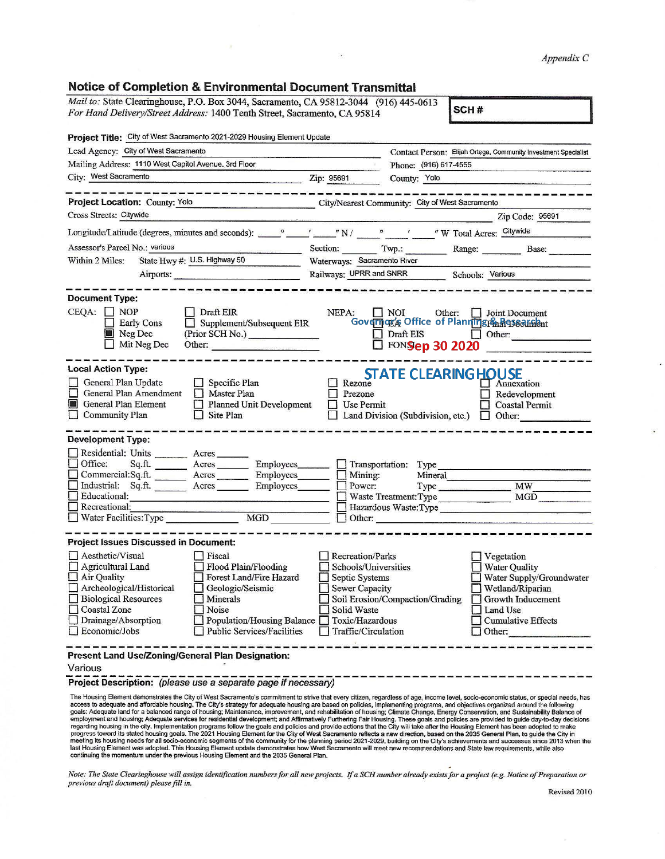## **Notice of Completion & Environmental Document Transmittal**

| Mail to: State Clearinghouse, P.O. Box 3044, Sacramento, CA 95812-3044 (916) 445-0613<br>SCH#<br>For Hand Delivery/Street Address: 1400 Tenth Street, Sacramento, CA 95814                                                                                                                                                                                                |                                                                                                                                                                                                                                                                                                                            |  |  |  |  |
|---------------------------------------------------------------------------------------------------------------------------------------------------------------------------------------------------------------------------------------------------------------------------------------------------------------------------------------------------------------------------|----------------------------------------------------------------------------------------------------------------------------------------------------------------------------------------------------------------------------------------------------------------------------------------------------------------------------|--|--|--|--|
| Project Title: City of West Sacramento 2021-2029 Housing Element Update                                                                                                                                                                                                                                                                                                   |                                                                                                                                                                                                                                                                                                                            |  |  |  |  |
| Lead Agency: City of West Sacramento                                                                                                                                                                                                                                                                                                                                      | Contact Person: Elijah Ortega, Community Investment Specialist                                                                                                                                                                                                                                                             |  |  |  |  |
| Mailing Address: 1110 West Capitol Avenue, 3rd Floor                                                                                                                                                                                                                                                                                                                      | Phone: (916) 617-4555                                                                                                                                                                                                                                                                                                      |  |  |  |  |
| City: West Sacramento<br>$\overline{2ip}$ : 95691                                                                                                                                                                                                                                                                                                                         | County: Yolo                                                                                                                                                                                                                                                                                                               |  |  |  |  |
| -----------------                                                                                                                                                                                                                                                                                                                                                         |                                                                                                                                                                                                                                                                                                                            |  |  |  |  |
| Project Location: County: Yolo                                                                                                                                                                                                                                                                                                                                            | City/Nearest Community: City of West Sacramento                                                                                                                                                                                                                                                                            |  |  |  |  |
| Cross Streets: Citywide                                                                                                                                                                                                                                                                                                                                                   | Zip Code: 95691                                                                                                                                                                                                                                                                                                            |  |  |  |  |
| Longitude/Latitude (degrees, minutes and seconds): very set of Marian Marian Marian Marian Marian Marian Marian Marian Marian Marian Marian Marian Marian Marian Marian Marian Marian Marian Marian Marian Marian Marian Maria                                                                                                                                            |                                                                                                                                                                                                                                                                                                                            |  |  |  |  |
| Assessor's Parcel No.: various<br><u> 1989 - Johann Stone, Amerikaansk politiker (</u>                                                                                                                                                                                                                                                                                    | Section: Twp.: Range: Base:                                                                                                                                                                                                                                                                                                |  |  |  |  |
| State Hwy #: U.S. Highway 50<br>Within 2 Miles:                                                                                                                                                                                                                                                                                                                           | Waterways: Sacramento River                                                                                                                                                                                                                                                                                                |  |  |  |  |
| Airports:                                                                                                                                                                                                                                                                                                                                                                 | Railways: UPRR and SNRR Schools: Various                                                                                                                                                                                                                                                                                   |  |  |  |  |
|                                                                                                                                                                                                                                                                                                                                                                           |                                                                                                                                                                                                                                                                                                                            |  |  |  |  |
| <b>Document Type:</b>                                                                                                                                                                                                                                                                                                                                                     |                                                                                                                                                                                                                                                                                                                            |  |  |  |  |
| $CEQA: \Box NP$<br>$\bigcup$ Draft EIR<br><b>Early Cons</b><br>Supplement/Subsequent EIR<br>Neg Dec<br>(Prior SCH No.)<br>$\Box$ Mit Neg Dec<br>Other:                                                                                                                                                                                                                    | NEPA:<br>I NOI<br>Other: <b>I</b> Joint Document<br>Governog's Office of Planningren Researchent<br>Draft EIS Other:<br>D FONSIED 30 2020                                                                                                                                                                                  |  |  |  |  |
| <b>Local Action Type:</b>                                                                                                                                                                                                                                                                                                                                                 |                                                                                                                                                                                                                                                                                                                            |  |  |  |  |
| General Plan Update<br>$\Box$ Specific Plan<br>General Plan Amendment Master Plan<br>General Plan Element<br>$\Box$ Planned Unit Development<br>Community Plan<br>$\Box$ Site Plan                                                                                                                                                                                        | <b>STATE CLEARING HOUSE</b><br>Rezone<br>$\Box$ Annexation<br>□ Prezone<br>Redevelopment<br>$\Box$ Use Permit<br>Coastal Permit<br>$\Box$ Land Division (Subdivision, etc.) $\Box$ Other:                                                                                                                                  |  |  |  |  |
| <b>Development Type:</b>                                                                                                                                                                                                                                                                                                                                                  |                                                                                                                                                                                                                                                                                                                            |  |  |  |  |
| Residential: Units ________ Acres ______<br>Office: Sq.ft. _______ Acres ________ Employees_______<br>Commercial:Sq.ft. _______ Acres ________ Employees_______<br>Industrial: Sq.ft. _______ Acres _______ Employees ______ _ Power:<br>Educational:<br>Recreational:<br>MGD<br>Water Facilities: Type                                                                   | Transportation: Type<br>Mining:<br>Power:<br>Mineral<br>Type MW<br>Hazardous Waste: Type                                                                                                                                                                                                                                   |  |  |  |  |
| <b>Project Issues Discussed in Document:</b>                                                                                                                                                                                                                                                                                                                              |                                                                                                                                                                                                                                                                                                                            |  |  |  |  |
| Aesthetic/Visual<br>  Fiscal<br>Flood Plain/Flooding<br>Agricultural Land<br>Forest Land/Fire Hazard<br>Air Quality<br>Archeological/Historical<br>Geologic/Seismic<br><b>Biological Resources</b><br>Minerals<br>Noise<br>Coastal Zone<br>$\Box$ Drainage/Absorption<br>Population/Housing Balance Toxic/Hazardous<br>$\Box$ Economic/Jobs<br>Public Services/Facilities | Recreation/Parks<br>Vegetation<br>Schools/Universities<br><b>Water Quality</b><br>Water Supply/Groundwater<br>Septic Systems<br>Sewer Capacity<br>Wetland/Riparian<br>Soil Erosion/Compaction/Grading<br>Growth Inducement<br>Solid Waste<br>Land Use<br><b>Cumulative Effects</b><br>Traffic/Circulation<br>$\Box$ Other: |  |  |  |  |
| Present Land Use/Zoning/General Plan Designation:<br>Various<br>Project Description: (please use a separate page if necessary)                                                                                                                                                                                                                                            | The Housing Element demonstrates the City of West Sacramento's commitment to strive that every citizen, regardless of age, income level, socio-economic status, or special needs, has                                                                                                                                      |  |  |  |  |

e.

The Housing Element demonstrates the City of West Sacramento's commitment to strive that every citizen, regardless of age, income level, socio-economic status, or special needs, has access to adequate and affordable housin

*Note: The State Clearinghouse will assign identification numbers for all new projects. If a SCH number already exists for a project (e.g. Notice of Preparation or previous draft document) please fill in.* 

 $\blacksquare$